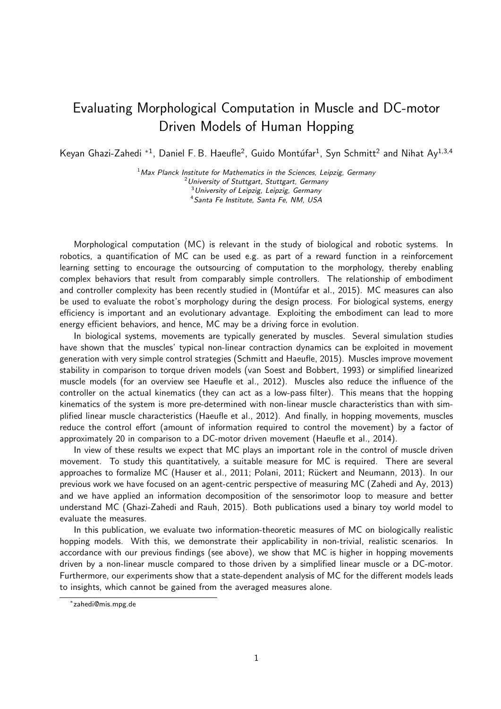## Evaluating Morphological Computation in Muscle and DC-motor Driven Models of Human Hopping

Keyan Ghazi-Zahedi \*<sup>1</sup>, Daniel F. B. Haeufle<sup>2</sup>, Guido Montúfar<sup>1</sup>, Syn Schmitt<sup>2</sup> and Nihat Ay<sup>1,3,4</sup>

 $<sup>1</sup>$ Max Planck Institute for Mathematics in the Sciences, Leipzig, Germany</sup> University of Stuttgart, Stuttgart, Germany University of Leipzig, Leipzig, Germany Santa Fe Institute, Santa Fe, NM, USA

Morphological computation (MC) is relevant in the study of biological and robotic systems. In robotics, a quantification of MC can be used e.g. as part of a reward function in a reinforcement learning setting to encourage the outsourcing of computation to the morphology, thereby enabling complex behaviors that result from comparably simple controllers. The relationship of embodiment and controller complexity has been recently studied in (Montúfar et al., [2015\)](#page-1-0). MC measures can also be used to evaluate the robot's morphology during the design process. For biological systems, energy efficiency is important and an evolutionary advantage. Exploiting the embodiment can lead to more energy efficient behaviors, and hence, MC may be a driving force in evolution.

In biological systems, movements are typically generated by muscles. Several simulation studies have shown that the muscles' typical non-linear contraction dynamics can be exploited in movement generation with very simple control strategies [\(Schmitt and Haeufle,](#page-1-1) [2015\)](#page-1-1). Muscles improve movement stability in comparison to torque driven models [\(van Soest and Bobbert,](#page-1-2) [1993\)](#page-1-2) or simplified linearized muscle models (for an overview see [Haeufle et al.,](#page-1-3) [2012\)](#page-1-3). Muscles also reduce the influence of the controller on the actual kinematics (they can act as a low-pass filter). This means that the hopping kinematics of the system is more pre-determined with non-linear muscle characteristics than with simplified linear muscle characteristics [\(Haeufle et al.,](#page-1-3) [2012\)](#page-1-3). And finally, in hopping movements, muscles reduce the control effort (amount of information required to control the movement) by a factor of approximately 20 in comparison to a DC-motor driven movement [\(Haeufle et al.,](#page-1-4) [2014\)](#page-1-4).

In view of these results we expect that MC plays an important role in the control of muscle driven movement. To study this quantitatively, a suitable measure for MC is required. There are several approaches to formalize MC [\(Hauser et al.,](#page-1-5) [2011;](#page-1-6) [Polani,](#page-1-6) 2011; Rückert and Neumann, [2013\)](#page-1-7). In our previous work we have focused on an agent-centric perspective of measuring MC [\(Zahedi and Ay,](#page-1-8) [2013\)](#page-1-8) and we have applied an information decomposition of the sensorimotor loop to measure and better understand MC [\(Ghazi-Zahedi and Rauh,](#page-1-9) [2015\)](#page-1-9). Both publications used a binary toy world model to evaluate the measures.

In this publication, we evaluate two information-theoretic measures of MC on biologically realistic hopping models. With this, we demonstrate their applicability in non-trivial, realistic scenarios. In accordance with our previous findings (see above), we show that MC is higher in hopping movements driven by a non-linear muscle compared to those driven by a simplified linear muscle or a DC-motor. Furthermore, our experiments show that a state-dependent analysis of MC for the different models leads to insights, which cannot be gained from the averaged measures alone.

<sup>∗</sup> zahedi@mis.mpg.de